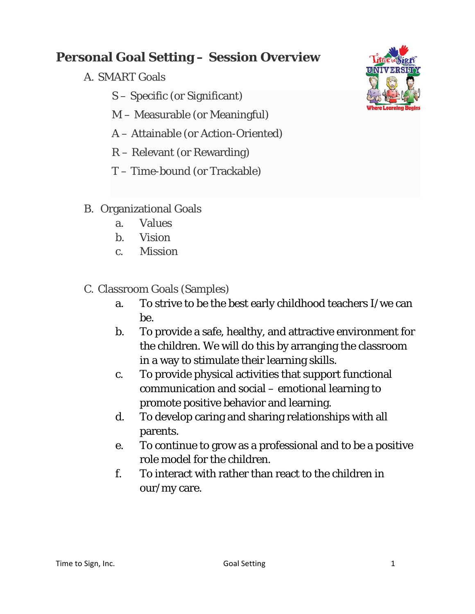## **Personal Goal Setting – Session Overview**

- A. SMART Goals
	- S Specific (or Significant)
	- M Measurable (or Meaningful)
	- A Attainable (or Action-Oriented)
	- R Relevant (or Rewarding)
	- T Time-bound (or Trackable)



- B. Organizational Goals
	- a. Values
	- b. Vision
	- c. Mission
- C. Classroom Goals (Samples)
	- a. To strive to be the best early childhood teachers I/we can be.
	- b. To provide a safe, healthy, and attractive environment for the children. We will do this by arranging the classroom in a way to stimulate their learning skills.
	- c. To provide physical activities that support functional communication and social – emotional learning to promote positive behavior and learning.
	- d. To develop caring and sharing relationships with all parents.
	- e. To continue to grow as a professional and to be a positive role model for the children.
	- f. To interact with rather than react to the children in our/my care.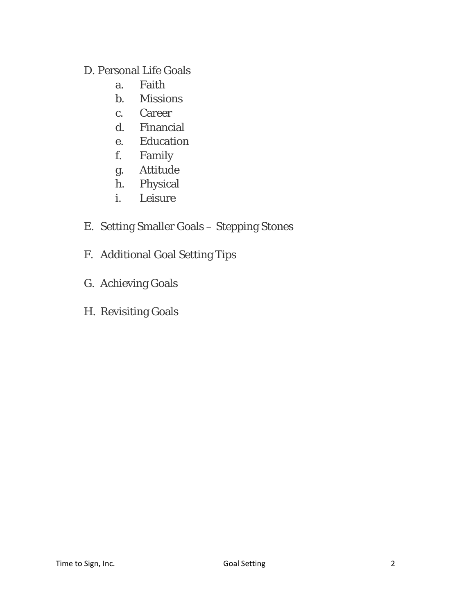## D. Personal Life Goals

- a. Faith
- b. Missions
- c. Career
- d. Financial
- e. Education
- f. Family
- g. Attitude
- h. Physical
- i. Leisure
- E. Setting Smaller Goals Stepping Stones
- F. Additional Goal Setting Tips
- G. Achieving Goals
- H. Revisiting Goals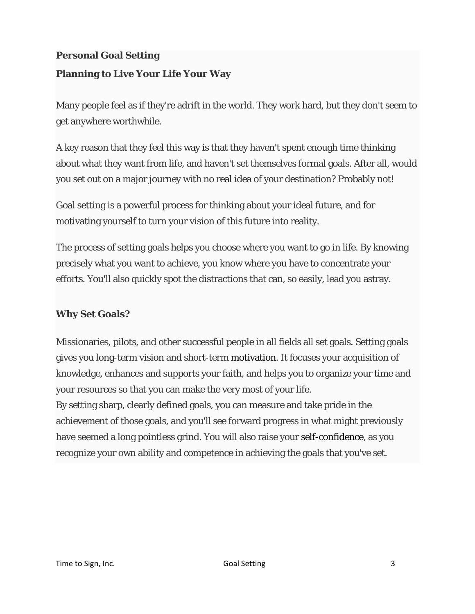# **Personal Goal Setting Planning to Live Your Life Your Way**

Many people feel as if they're adrift in the world. They work hard, but they don't seem to get anywhere worthwhile.

A key reason that they feel this way is that they haven't spent enough time thinking about what they want from life, and haven't set themselves formal goals. After all, would you set out on a major journey with no real idea of your destination? Probably not!

Goal setting is a powerful process for thinking about your ideal future, and for motivating yourself to turn your vision of this future into reality.

The process of setting goals helps you choose where you want to go in life. By knowing precisely what you want to achieve, you know where you have to concentrate your efforts. You'll also quickly spot the distractions that can, so easily, lead you astray.

### **Why Set Goals?**

Missionaries, pilots, and other successful people in all fields all set goals. Setting goals gives you long-term vision and short-term motivation. It focuses your acquisition of knowledge, enhances and supports your faith, and helps you to organize your time and your resources so that you can make the very most of your life.

By setting sharp, clearly defined goals, you can measure and take pride in the achievement of those goals, and you'll see forward progress in what might previously have seemed a long pointless grind. You will also raise your self-confidence, as you recognize your own ability and competence in achieving the goals that you've set.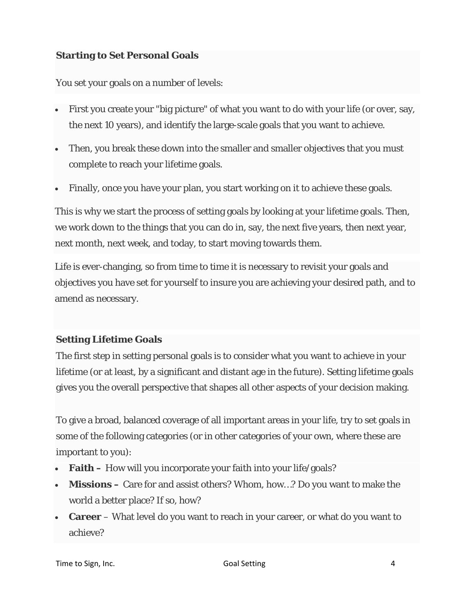#### **Starting to Set Personal Goals**

You set your goals on a number of levels:

- First you create your "big picture" of what you want to do with your life (or over, say, the next 10 years), and identify the large-scale goals that you want to achieve.
- Then, you break these down into the smaller and smaller objectives that you must complete to reach your lifetime goals.
- Finally, once you have your plan, you start working on it to achieve these goals.

This is why we start the process of setting goals by looking at your lifetime goals. Then, we work down to the things that you can do in, say, the next five years, then next year, next month, next week, and today, to start moving towards them.

Life is ever-changing, so from time to time it is necessary to revisit your goals and objectives you have set for yourself to insure you are achieving your desired path, and to amend as necessary.

#### **Setting Lifetime Goals**

The first step in setting personal goals is to consider what you want to achieve in your lifetime (or at least, by a significant and distant age in the future). Setting lifetime goals gives you the overall perspective that shapes all other aspects of your decision making.

To give a broad, balanced coverage of all important areas in your life, try to set goals in some of the following categories (or in other categories of your own, where these are important to you):

- **Faith** How will you incorporate your faith into your life/goals?
- **Missions** Care for and assist others? Whom, how...? Do you want to make the world a better place? If so, how?
- **Career** What level do you want to reach in your career, or what do you want to achieve?

Time to Sign, Inc. Goal Setting 4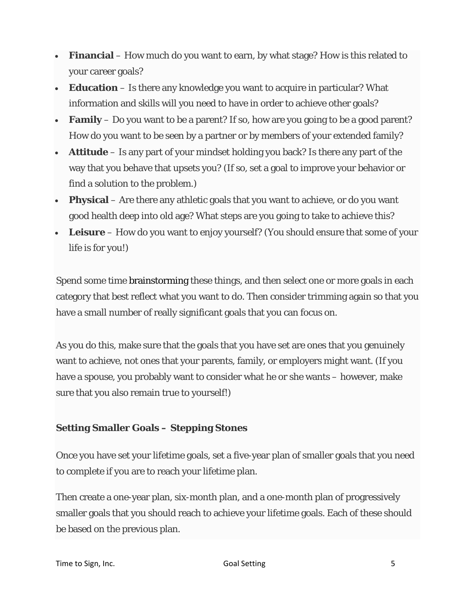- **Financial** How much do you want to earn, by what stage? How is this related to your career goals?
- **Education** Is there any knowledge you want to acquire in particular? What information and skills will you need to have in order to achieve other goals?
- **Family** Do you want to be a parent? If so, how are you going to be a good parent? How do you want to be seen by a partner or by members of your extended family?
- **Attitude** Is any part of your mindset holding you back? Is there any part of the way that you behave that upsets you? (If so, set a goal to improve your behavior or find a solution to the problem.)
- **Physical** Are there any athletic goals that you want to achieve, or do you want good health deep into old age? What steps are you going to take to achieve this?
- **Leisure** How do you want to enjoy yourself? (You should ensure that some of your life is for you!)

Spend some time brainstorming these things, and then select one or more goals in each category that best reflect what you want to do. Then consider trimming again so that you have a small number of really significant goals that you can focus on.

As you do this, make sure that the goals that you have set are ones that you genuinely want to achieve, not ones that your parents, family, or employers might want. (If you have a spouse, you probably want to consider what he or she wants – however, make sure that you also remain true to yourself!)

### **Setting Smaller Goals – Stepping Stones**

Once you have set your lifetime goals, set a five-year plan of smaller goals that you need to complete if you are to reach your lifetime plan.

Then create a one-year plan, six-month plan, and a one-month plan of progressively smaller goals that you should reach to achieve your lifetime goals. Each of these should be based on the previous plan.

Time to Sign, Inc. Goal Setting 5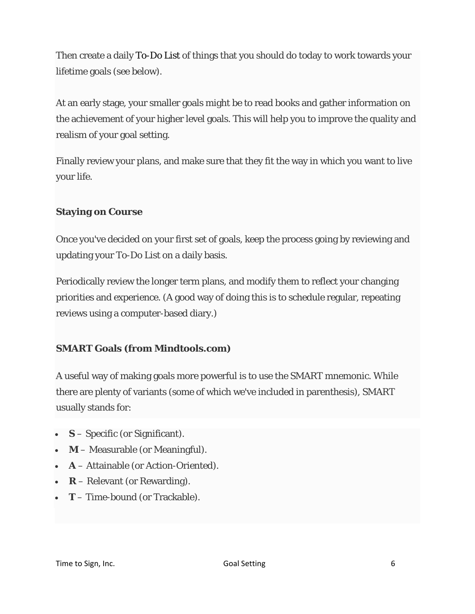Then create a daily To-Do List of things that you should do today to work towards your lifetime goals (see below).

At an early stage, your smaller goals might be to read books and gather information on the achievement of your higher level goals. This will help you to improve the quality and realism of your goal setting.

Finally review your plans, and make sure that they fit the way in which you want to live your life.

#### **Staying on Course**

Once you've decided on your first set of goals, keep the process going by reviewing and updating your To-Do List on a daily basis.

Periodically review the longer term plans, and modify them to reflect your changing priorities and experience. (A good way of doing this is to schedule regular, repeating reviews using a computer-based diary.)

#### **SMART Goals (from Mindtools.com)**

A useful way of making goals more powerful is to use the SMART mnemonic. While there are plenty of variants (some of which we've included in parenthesis), SMART usually stands for:

- **S** Specific (or Significant).
- **M** Measurable (or Meaningful).
- **A** Attainable (or Action-Oriented).
- **R** Relevant (or Rewarding).
- **T** Time-bound (or Trackable).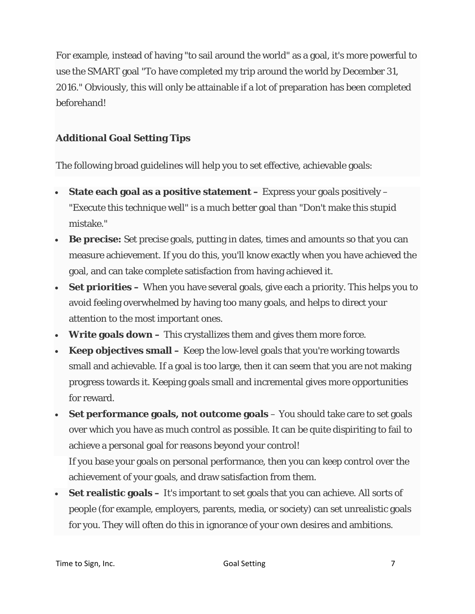For example, instead of having "to sail around the world" as a goal, it's more powerful to use the SMART goal "To have completed my trip around the world by December 31, 2016." Obviously, this will only be attainable if a lot of preparation has been completed beforehand!

## **Additional Goal Setting Tips**

The following broad guidelines will help you to set effective, achievable goals:

- State each goal as a positive statement Express your goals positively "Execute this technique well" is a much better goal than "Don't make this stupid mistake."
- **Be precise:** Set precise goals, putting in dates, times and amounts so that you can measure achievement. If you do this, you'll know exactly when you have achieved the goal, and can take complete satisfaction from having achieved it.
- **Set priorities** When you have several goals, give each a priority. This helps you to avoid feeling overwhelmed by having too many goals, and helps to direct your attention to the most important ones.
- **Write goals down** This crystallizes them and gives them more force.
- **Keep objectives small** Keep the low-level goals that you're working towards small and achievable. If a goal is too large, then it can seem that you are not making progress towards it. Keeping goals small and incremental gives more opportunities for reward.
- **Set performance goals, not outcome goals** You should take care to set goals over which you have as much control as possible. It can be quite dispiriting to fail to achieve a personal goal for reasons beyond your control! If you base your goals on personal performance, then you can keep control over the achievement of your goals, and draw satisfaction from them.
- **Set realistic goals** It's important to set goals that you can achieve. All sorts of people (for example, employers, parents, media, or society) can set unrealistic goals for you. They will often do this in ignorance of your own desires and ambitions.